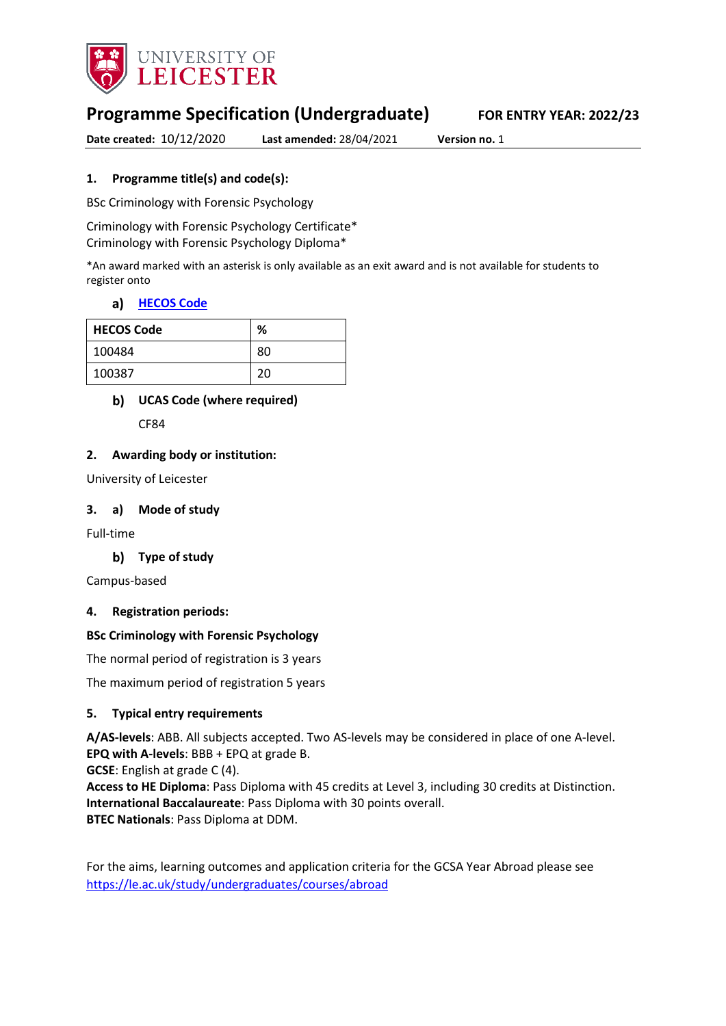

# **Programme Specification (Undergraduate) FOR ENTRY YEAR: 2022/23**

**Date created:** 10/12/2020 **Last amended:** 28/04/2021 **Version no.** 1

## **1. Programme title(s) and code(s):**

BSc Criminology with Forensic Psychology

Criminology with Forensic Psychology Certificate\* Criminology with Forensic Psychology Diploma\*

\*An award marked with an asterisk is only available as an exit award and is not available for students to register onto

#### **[HECOS Code](https://www.hesa.ac.uk/innovation/hecos)**

| <b>HECOS Code</b> | %  |
|-------------------|----|
| 100484            | 80 |
| 100387            | 20 |

## **UCAS Code (where required)**

CF84

#### **2. Awarding body or institution:**

University of Leicester

#### **3. a) Mode of study**

Full-time

## **Type of study**

Campus-based

#### **4. Registration periods:**

#### **BSc Criminology with Forensic Psychology**

The normal period of registration is 3 years

The maximum period of registration 5 years

#### **5. Typical entry requirements**

**A/AS-levels**: ABB. All subjects accepted. Two AS-levels may be considered in place of one A-level. **EPQ with A-levels**: BBB + EPQ at grade B.

**GCSE**: English at grade C (4).

**Access to HE Diploma**: Pass Diploma with 45 credits at Level 3, including 30 credits at Distinction. **International Baccalaureate**: Pass Diploma with 30 points overall. **BTEC Nationals**: Pass Diploma at DDM.

For the aims, learning outcomes and application criteria for the GCSA Year Abroad please see <https://le.ac.uk/study/undergraduates/courses/abroad>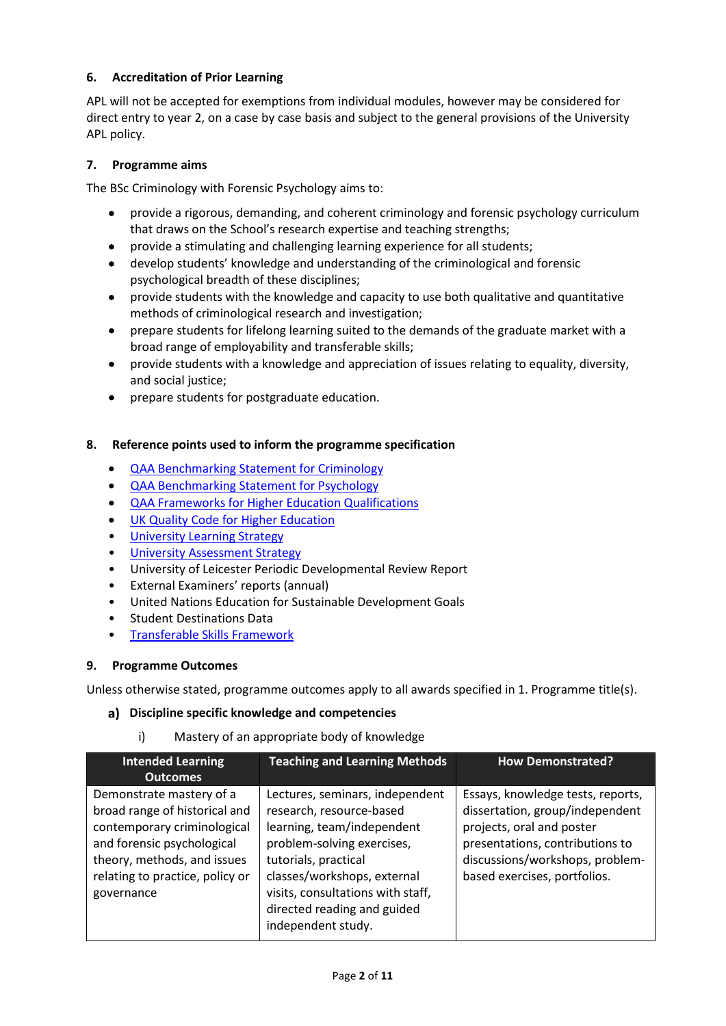## **6. Accreditation of Prior Learning**

APL will not be accepted for exemptions from individual modules, however may be considered for direct entry to year 2, on a case by case basis and subject to the general provisions of the University APL policy.

#### **7. Programme aims**

The BSc Criminology with Forensic Psychology aims to:

- provide a rigorous, demanding, and coherent criminology and forensic psychology curriculum that draws on the School's research expertise and teaching strengths;
- provide a stimulating and challenging learning experience for all students;
- develop students' knowledge and understanding of the criminological and forensic psychological breadth of these disciplines;
- provide students with the knowledge and capacity to use both qualitative and quantitative methods of criminological research and investigation;
- prepare students for lifelong learning suited to the demands of the graduate market with a broad range of employability and transferable skills;
- provide students with a knowledge and appreciation of issues relating to equality, diversity, and social justice;
- prepare students for postgraduate education.

#### **8. Reference points used to inform the programme specification**

- QAA Benchmarking Statement for Criminology
- [QAA Benchmarking Statement for Psychology](https://www.qaa.ac.uk/docs/qaa/subject-benchmark-statements/subject-benchmark-statement-psychology.pdf?sfvrsn=6935c881_13)
- QAA Frameworks for Higher Education Qualifications
- [UK Quality Code for Higher Education](https://www.qaa.ac.uk/docs/qaa/quality-code/qualifications-frameworks.pdf)
- University Learnin[g Strategy](https://www2.le.ac.uk/offices/sas2/quality/learnteach)
- **[University Assessment Strategy](https://www2.le.ac.uk/offices/sas2/quality/learnteach)**
- University of Leicester Periodic Developmental Review Report
- External Examiners' reports (annual)
- United Nations Education for Sustainable Development Goals
- Student Destinations Data
- [Transferable Skills Framework](https://uniofleicester.sharepoint.com/sites/staff/student-support-info/Shared%20Documents/Forms/AllItems.aspx?id=%2Fsites%2Fstaff%2Fstudent%2Dsupport%2Dinfo%2FShared%20Documents%2FTransferable%20Skills%20Guidance%20for%20PAPv3%2Epdf&parent=%2Fsites%2Fstaff%2Fstudent%2Dsupport%2Dinfo%2FShared%20Documents)

#### **9. Programme Outcomes**

Unless otherwise stated, programme outcomes apply to all awards specified in 1. Programme title(s).

#### **Discipline specific knowledge and competencies**

#### i) Mastery of an appropriate body of knowledge

| <b>Intended Learning</b><br><b>Outcomes</b>                                                                                                                                                            | <b>Teaching and Learning Methods</b>                                                                                                                                                                                                                                     | <b>How Demonstrated?</b>                                                                                                                                                                                |
|--------------------------------------------------------------------------------------------------------------------------------------------------------------------------------------------------------|--------------------------------------------------------------------------------------------------------------------------------------------------------------------------------------------------------------------------------------------------------------------------|---------------------------------------------------------------------------------------------------------------------------------------------------------------------------------------------------------|
| Demonstrate mastery of a<br>broad range of historical and<br>contemporary criminological<br>and forensic psychological<br>theory, methods, and issues<br>relating to practice, policy or<br>governance | Lectures, seminars, independent<br>research, resource-based<br>learning, team/independent<br>problem-solving exercises,<br>tutorials, practical<br>classes/workshops, external<br>visits, consultations with staff,<br>directed reading and guided<br>independent study. | Essays, knowledge tests, reports,<br>dissertation, group/independent<br>projects, oral and poster<br>presentations, contributions to<br>discussions/workshops, problem-<br>based exercises, portfolios. |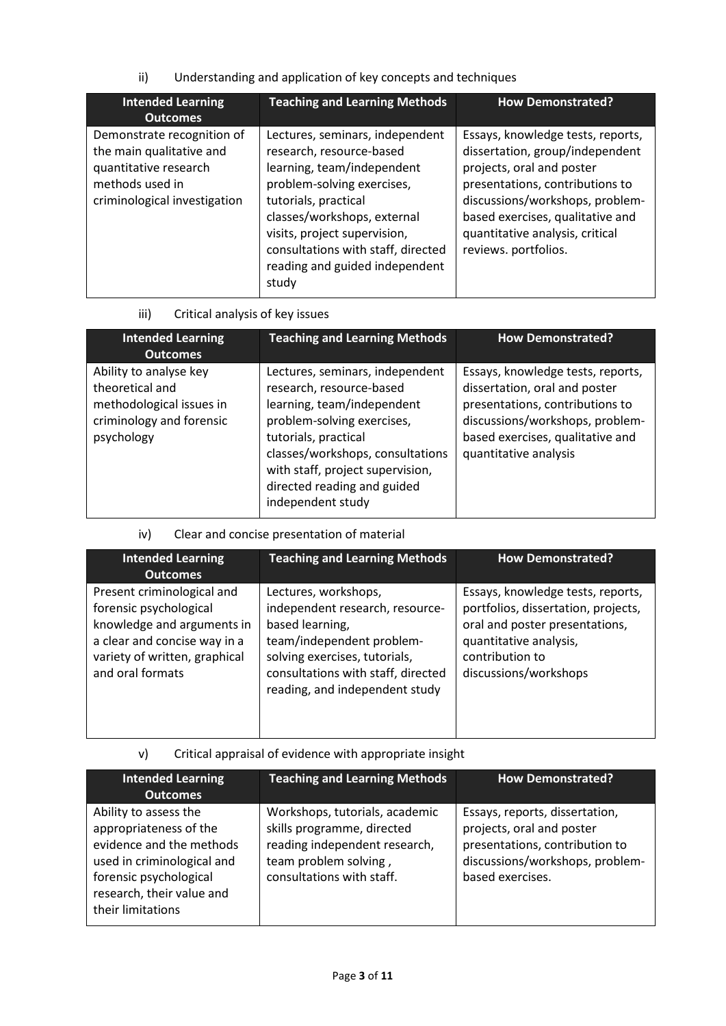ii) Understanding and application of key concepts and techniques

| <b>Intended Learning</b><br><b>Outcomes</b>                                                                                        | <b>Teaching and Learning Methods</b>                                                                                                                                                                                                                                                            | <b>How Demonstrated?</b>                                                                                                                                                                                                                                               |
|------------------------------------------------------------------------------------------------------------------------------------|-------------------------------------------------------------------------------------------------------------------------------------------------------------------------------------------------------------------------------------------------------------------------------------------------|------------------------------------------------------------------------------------------------------------------------------------------------------------------------------------------------------------------------------------------------------------------------|
| Demonstrate recognition of<br>the main qualitative and<br>quantitative research<br>methods used in<br>criminological investigation | Lectures, seminars, independent<br>research, resource-based<br>learning, team/independent<br>problem-solving exercises,<br>tutorials, practical<br>classes/workshops, external<br>visits, project supervision,<br>consultations with staff, directed<br>reading and guided independent<br>study | Essays, knowledge tests, reports,<br>dissertation, group/independent<br>projects, oral and poster<br>presentations, contributions to<br>discussions/workshops, problem-<br>based exercises, qualitative and<br>quantitative analysis, critical<br>reviews. portfolios. |

iii) Critical analysis of key issues

| <b>Intended Learning</b><br><b>Outcomes</b>                                                                     | <b>Teaching and Learning Methods</b>                                                                                                                                                                                                                                        | <b>How Demonstrated?</b>                                                                                                                                                                              |
|-----------------------------------------------------------------------------------------------------------------|-----------------------------------------------------------------------------------------------------------------------------------------------------------------------------------------------------------------------------------------------------------------------------|-------------------------------------------------------------------------------------------------------------------------------------------------------------------------------------------------------|
| Ability to analyse key<br>theoretical and<br>methodological issues in<br>criminology and forensic<br>psychology | Lectures, seminars, independent<br>research, resource-based<br>learning, team/independent<br>problem-solving exercises,<br>tutorials, practical<br>classes/workshops, consultations<br>with staff, project supervision,<br>directed reading and guided<br>independent study | Essays, knowledge tests, reports,<br>dissertation, oral and poster<br>presentations, contributions to<br>discussions/workshops, problem-<br>based exercises, qualitative and<br>quantitative analysis |

## iv) Clear and concise presentation of material

| <b>Intended Learning</b><br><b>Outcomes</b>                                                                                                                             | <b>Teaching and Learning Methods</b>                                                                                                                                                                             | <b>How Demonstrated?</b>                                                                                                                                                         |
|-------------------------------------------------------------------------------------------------------------------------------------------------------------------------|------------------------------------------------------------------------------------------------------------------------------------------------------------------------------------------------------------------|----------------------------------------------------------------------------------------------------------------------------------------------------------------------------------|
| Present criminological and<br>forensic psychological<br>knowledge and arguments in<br>a clear and concise way in a<br>variety of written, graphical<br>and oral formats | Lectures, workshops,<br>independent research, resource-<br>based learning,<br>team/independent problem-<br>solving exercises, tutorials,<br>consultations with staff, directed<br>reading, and independent study | Essays, knowledge tests, reports,<br>portfolios, dissertation, projects,<br>oral and poster presentations,<br>quantitative analysis,<br>contribution to<br>discussions/workshops |

v) Critical appraisal of evidence with appropriate insight

| <b>Intended Learning</b><br><b>Outcomes</b>                                                                                                                                           | <b>Teaching and Learning Methods</b>                                                                                                                | <b>How Demonstrated?</b>                                                                                                                             |
|---------------------------------------------------------------------------------------------------------------------------------------------------------------------------------------|-----------------------------------------------------------------------------------------------------------------------------------------------------|------------------------------------------------------------------------------------------------------------------------------------------------------|
| Ability to assess the<br>appropriateness of the<br>evidence and the methods<br>used in criminological and<br>forensic psychological<br>research, their value and<br>their limitations | Workshops, tutorials, academic<br>skills programme, directed<br>reading independent research,<br>team problem solving,<br>consultations with staff. | Essays, reports, dissertation,<br>projects, oral and poster<br>presentations, contribution to<br>discussions/workshops, problem-<br>based exercises. |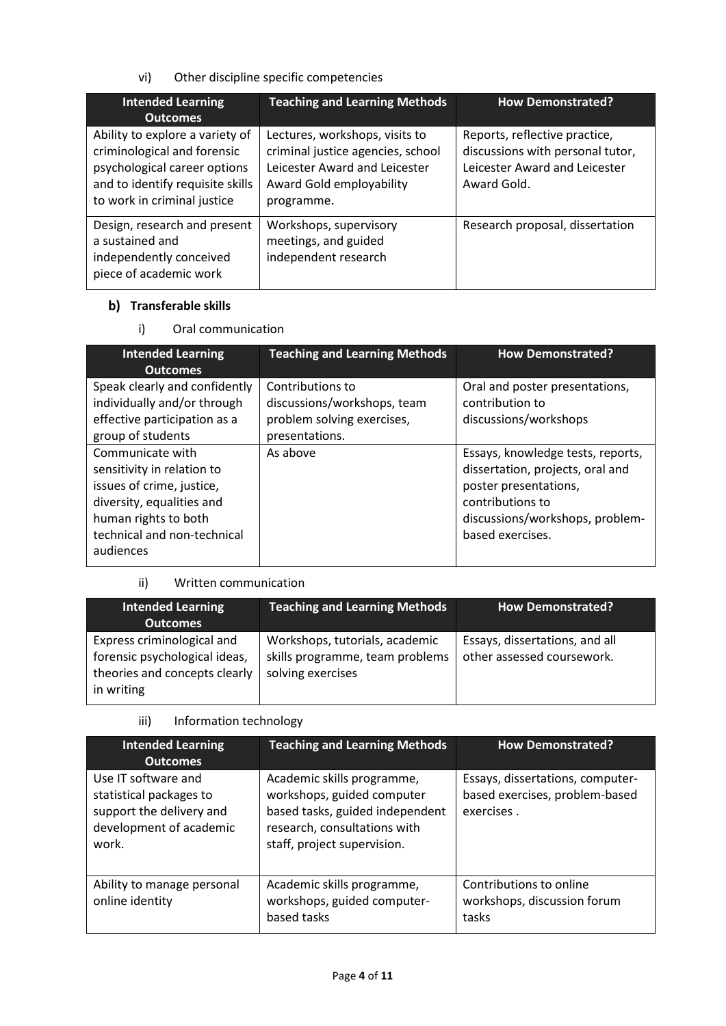vi) Other discipline specific competencies

| <b>Intended Learning</b><br><b>Outcomes</b>                                                                                                                       | <b>Teaching and Learning Methods</b>                                                                                                           | <b>How Demonstrated?</b>                                                                                          |
|-------------------------------------------------------------------------------------------------------------------------------------------------------------------|------------------------------------------------------------------------------------------------------------------------------------------------|-------------------------------------------------------------------------------------------------------------------|
| Ability to explore a variety of<br>criminological and forensic<br>psychological career options<br>and to identify requisite skills<br>to work in criminal justice | Lectures, workshops, visits to<br>criminal justice agencies, school<br>Leicester Award and Leicester<br>Award Gold employability<br>programme. | Reports, reflective practice,<br>discussions with personal tutor,<br>Leicester Award and Leicester<br>Award Gold. |
| Design, research and present<br>a sustained and<br>independently conceived<br>piece of academic work                                                              | Workshops, supervisory<br>meetings, and guided<br>independent research                                                                         | Research proposal, dissertation                                                                                   |

# **b)** Transferable skills

i) Oral communication

| <b>Intended Learning</b><br><b>Outcomes</b>                                                                                                                                  | <b>Teaching and Learning Methods</b>                                                            | <b>How Demonstrated?</b>                                                                                                                                                  |
|------------------------------------------------------------------------------------------------------------------------------------------------------------------------------|-------------------------------------------------------------------------------------------------|---------------------------------------------------------------------------------------------------------------------------------------------------------------------------|
| Speak clearly and confidently<br>individually and/or through<br>effective participation as a<br>group of students                                                            | Contributions to<br>discussions/workshops, team<br>problem solving exercises,<br>presentations. | Oral and poster presentations,<br>contribution to<br>discussions/workshops                                                                                                |
| Communicate with<br>sensitivity in relation to<br>issues of crime, justice,<br>diversity, equalities and<br>human rights to both<br>technical and non-technical<br>audiences | As above                                                                                        | Essays, knowledge tests, reports,<br>dissertation, projects, oral and<br>poster presentations,<br>contributions to<br>discussions/workshops, problem-<br>based exercises. |

## ii) Written communication

| <b>Intended Learning</b><br><b>Outcomes</b>                                                                | <b>Teaching and Learning Methods</b>                                                   | <b>How Demonstrated?</b>                                     |
|------------------------------------------------------------------------------------------------------------|----------------------------------------------------------------------------------------|--------------------------------------------------------------|
| Express criminological and<br>forensic psychological ideas,<br>theories and concepts clearly<br>in writing | Workshops, tutorials, academic<br>skills programme, team problems<br>solving exercises | Essays, dissertations, and all<br>other assessed coursework. |

# iii) Information technology

| <b>Intended Learning</b><br><b>Outcomes</b>                                                                    | <b>Teaching and Learning Methods</b>                                                                                                                       | <b>How Demonstrated?</b>                                                         |
|----------------------------------------------------------------------------------------------------------------|------------------------------------------------------------------------------------------------------------------------------------------------------------|----------------------------------------------------------------------------------|
| Use IT software and<br>statistical packages to<br>support the delivery and<br>development of academic<br>work. | Academic skills programme,<br>workshops, guided computer<br>based tasks, guided independent<br>research, consultations with<br>staff, project supervision. | Essays, dissertations, computer-<br>based exercises, problem-based<br>exercises. |
| Ability to manage personal<br>online identity                                                                  | Academic skills programme,<br>workshops, guided computer-<br>based tasks                                                                                   | Contributions to online<br>workshops, discussion forum<br>tasks                  |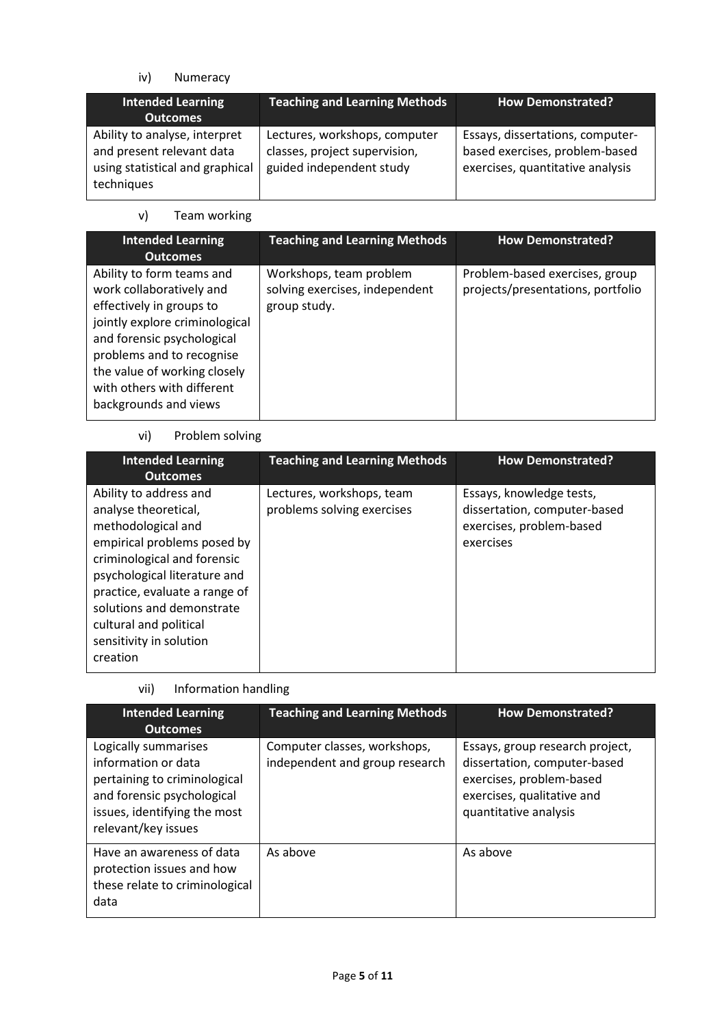iv) Numeracy

| <b>Intended Learning</b><br><b>Outcomes</b>                                                                 | <b>Teaching and Learning Methods</b>                                                       | <b>How Demonstrated?</b>                                                                               |
|-------------------------------------------------------------------------------------------------------------|--------------------------------------------------------------------------------------------|--------------------------------------------------------------------------------------------------------|
| Ability to analyse, interpret<br>and present relevant data<br>using statistical and graphical<br>techniques | Lectures, workshops, computer<br>classes, project supervision,<br>guided independent study | Essays, dissertations, computer-<br>based exercises, problem-based<br>exercises, quantitative analysis |

v) Team working

| <b>Intended Learning</b><br><b>Outcomes</b>                                                                                                                                                                                                                           | <b>Teaching and Learning Methods</b>                                      | <b>How Demonstrated?</b>                                            |
|-----------------------------------------------------------------------------------------------------------------------------------------------------------------------------------------------------------------------------------------------------------------------|---------------------------------------------------------------------------|---------------------------------------------------------------------|
| Ability to form teams and<br>work collaboratively and<br>effectively in groups to<br>jointly explore criminological<br>and forensic psychological<br>problems and to recognise<br>the value of working closely<br>with others with different<br>backgrounds and views | Workshops, team problem<br>solving exercises, independent<br>group study. | Problem-based exercises, group<br>projects/presentations, portfolio |

# vi) Problem solving

| <b>Intended Learning</b><br><b>Outcomes</b>                                                                                                                                                                                                                                                       | <b>Teaching and Learning Methods</b>                    | <b>How Demonstrated?</b>                                                                          |
|---------------------------------------------------------------------------------------------------------------------------------------------------------------------------------------------------------------------------------------------------------------------------------------------------|---------------------------------------------------------|---------------------------------------------------------------------------------------------------|
| Ability to address and<br>analyse theoretical,<br>methodological and<br>empirical problems posed by<br>criminological and forensic<br>psychological literature and<br>practice, evaluate a range of<br>solutions and demonstrate<br>cultural and political<br>sensitivity in solution<br>creation | Lectures, workshops, team<br>problems solving exercises | Essays, knowledge tests,<br>dissertation, computer-based<br>exercises, problem-based<br>exercises |

| vii) | Information handling |  |
|------|----------------------|--|
|------|----------------------|--|

| <b>Intended Learning</b><br><b>Outcomes</b>                                                                                                                      | <b>Teaching and Learning Methods</b>                           | <b>How Demonstrated?</b>                                                                                                                           |
|------------------------------------------------------------------------------------------------------------------------------------------------------------------|----------------------------------------------------------------|----------------------------------------------------------------------------------------------------------------------------------------------------|
| Logically summarises<br>information or data<br>pertaining to criminological<br>and forensic psychological<br>issues, identifying the most<br>relevant/key issues | Computer classes, workshops,<br>independent and group research | Essays, group research project,<br>dissertation, computer-based<br>exercises, problem-based<br>exercises, qualitative and<br>quantitative analysis |
| Have an awareness of data<br>protection issues and how<br>these relate to criminological<br>data                                                                 | As above                                                       | As above                                                                                                                                           |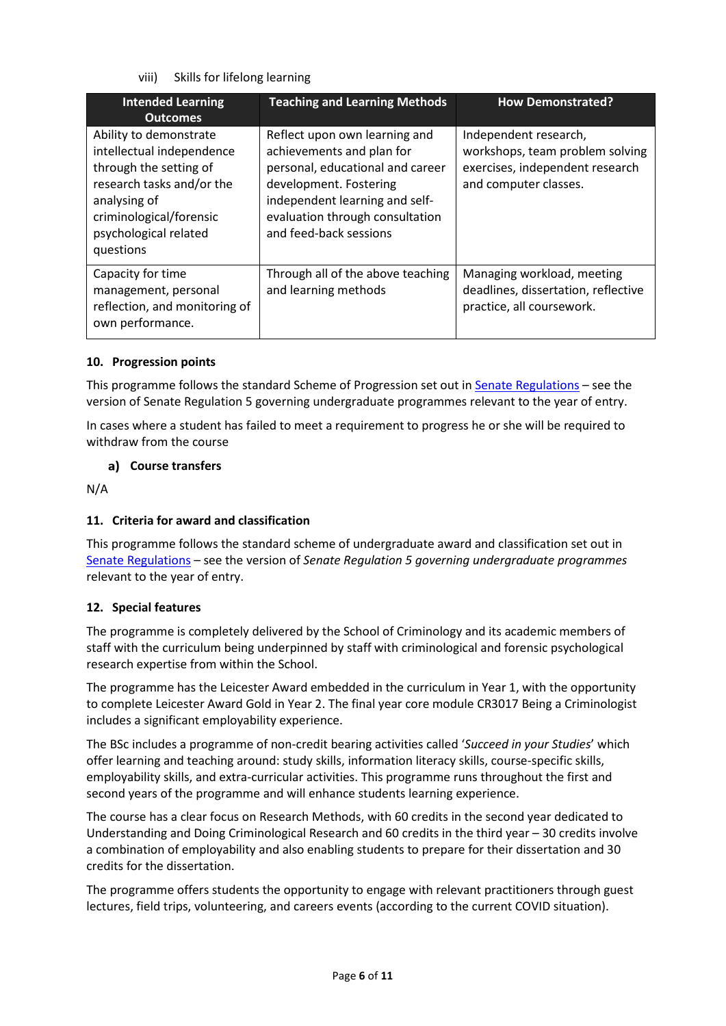viii) Skills for lifelong learning

| <b>Intended Learning</b><br><b>Outcomes</b>                                                                                                                                                 | <b>Teaching and Learning Methods</b>                                                                                                                                                                                    | <b>How Demonstrated?</b>                                                                                             |
|---------------------------------------------------------------------------------------------------------------------------------------------------------------------------------------------|-------------------------------------------------------------------------------------------------------------------------------------------------------------------------------------------------------------------------|----------------------------------------------------------------------------------------------------------------------|
| Ability to demonstrate<br>intellectual independence<br>through the setting of<br>research tasks and/or the<br>analysing of<br>criminological/forensic<br>psychological related<br>questions | Reflect upon own learning and<br>achievements and plan for<br>personal, educational and career<br>development. Fostering<br>independent learning and self-<br>evaluation through consultation<br>and feed-back sessions | Independent research,<br>workshops, team problem solving<br>exercises, independent research<br>and computer classes. |
| Capacity for time<br>management, personal<br>reflection, and monitoring of<br>own performance.                                                                                              | Through all of the above teaching<br>and learning methods                                                                                                                                                               | Managing workload, meeting<br>deadlines, dissertation, reflective<br>practice, all coursework.                       |

## **10. Progression points**

This programme follows the standard Scheme of Progression set out i[n Senate Regulations](http://www.le.ac.uk/senate-regulations) – see the version of Senate Regulation 5 governing undergraduate programmes relevant to the year of entry.

In cases where a student has failed to meet a requirement to progress he or she will be required to withdraw from the course

## **Course transfers**

N/A

## **11. Criteria for award and classification**

This programme follows the standard scheme of undergraduate award and classification set out in [Senate Regulations](http://www.le.ac.uk/senate-regulations) – see the version of *Senate Regulation 5 governing undergraduate programmes* relevant to the year of entry.

## **12. Special features**

The programme is completely delivered by the School of Criminology and its academic members of staff with the curriculum being underpinned by staff with criminological and forensic psychological research expertise from within the School.

The programme has the Leicester Award embedded in the curriculum in Year 1, with the opportunity to complete Leicester Award Gold in Year 2. The final year core module CR3017 Being a Criminologist includes a significant employability experience.

The BSc includes a programme of non-credit bearing activities called '*Succeed in your Studies*' which offer learning and teaching around: study skills, information literacy skills, course-specific skills, employability skills, and extra-curricular activities. This programme runs throughout the first and second years of the programme and will enhance students learning experience.

The course has a clear focus on Research Methods, with 60 credits in the second year dedicated to Understanding and Doing Criminological Research and 60 credits in the third year – 30 credits involve a combination of employability and also enabling students to prepare for their dissertation and 30 credits for the dissertation.

The programme offers students the opportunity to engage with relevant practitioners through guest lectures, field trips, volunteering, and careers events (according to the current COVID situation).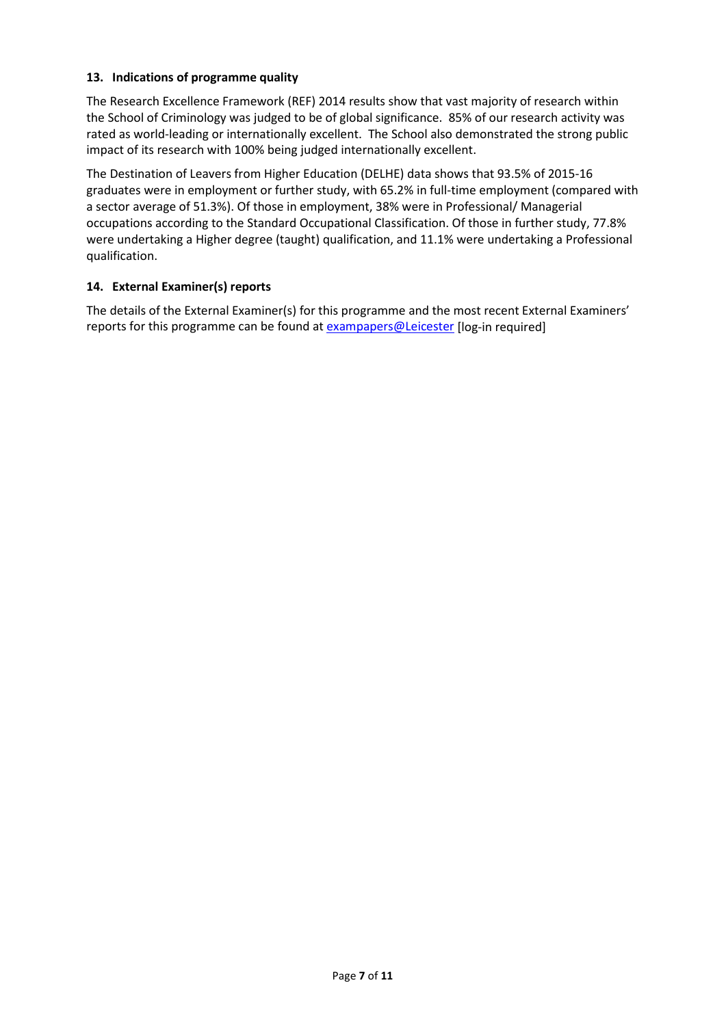#### **13. Indications of programme quality**

The Research Excellence Framework (REF) 2014 results show that vast majority of research within the School of Criminology was judged to be of global significance. 85% of our research activity was rated as world-leading or internationally excellent. The School also demonstrated the strong public impact of its research with 100% being judged internationally excellent.

The Destination of Leavers from Higher Education (DELHE) data shows that 93.5% of 2015-16 graduates were in employment or further study, with 65.2% in full-time employment (compared with a sector average of 51.3%). Of those in employment, 38% were in Professional/ Managerial occupations according to the Standard Occupational Classification. Of those in further study, 77.8% were undertaking a Higher degree (taught) qualification, and 11.1% were undertaking a Professional qualification.

## **14. External Examiner(s) reports**

The details of the External Examiner(s) for this programme and the most recent External Examiners' reports for this programme can be found at [exampapers@Leicester](https://exampapers.le.ac.uk/) [log-in required]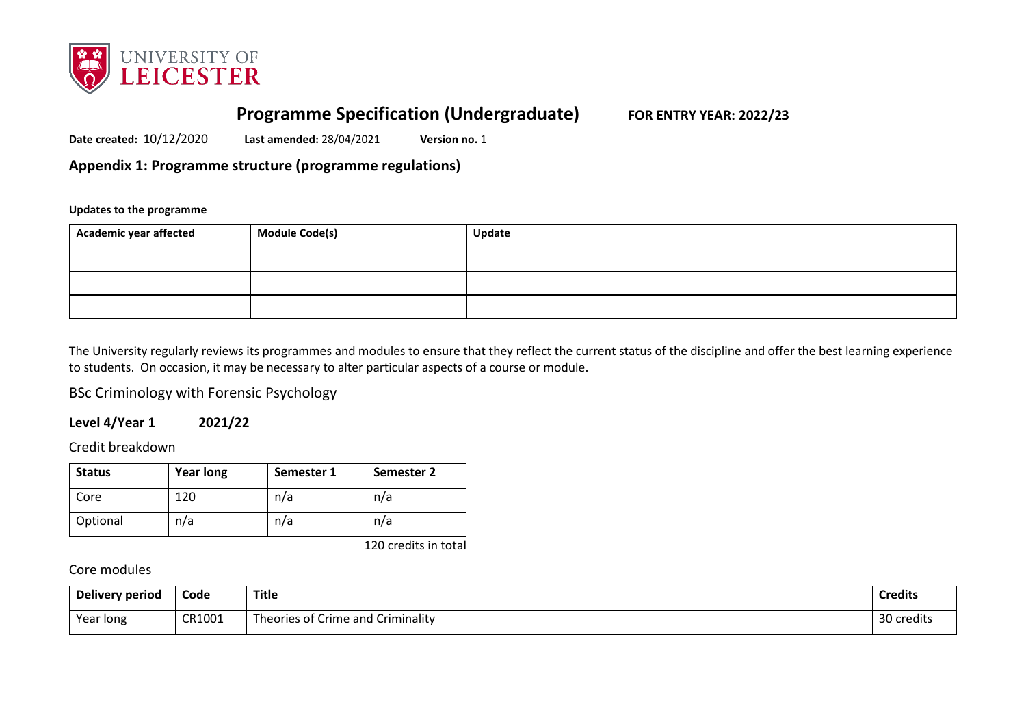

# **Programme Specification (Undergraduate) FOR ENTRY YEAR: 2022/23**

**Date created:** 10/12/2020 **Last amended:** 28/04/2021 **Version no.** 1

**Appendix 1: Programme structure (programme regulations)**

#### **Updates to the programme**

| Academic year affected | <b>Module Code(s)</b> | Update |
|------------------------|-----------------------|--------|
|                        |                       |        |
|                        |                       |        |
|                        |                       |        |

The University regularly reviews its programmes and modules to ensure that they reflect the current status of the discipline and offer the best learning experience to students. On occasion, it may be necessary to alter particular aspects of a course or module.

BSc Criminology with Forensic Psychology

#### **Level 4/Year 1 2021/22**

Credit breakdown

| <b>Status</b> | <b>Year long</b> | Semester 1 | Semester 2 |
|---------------|------------------|------------|------------|
| Core          | 120              | n/a        | n/a        |
| Optional      | n/a              | n/a        | n/a        |

120 credits in total

## Core modules

| Delivery period | Code   | <b>Title</b>                      | <b>Credits</b> |
|-----------------|--------|-----------------------------------|----------------|
| Year long       | CR1001 | Theories of Crime and Criminality | 30 credits     |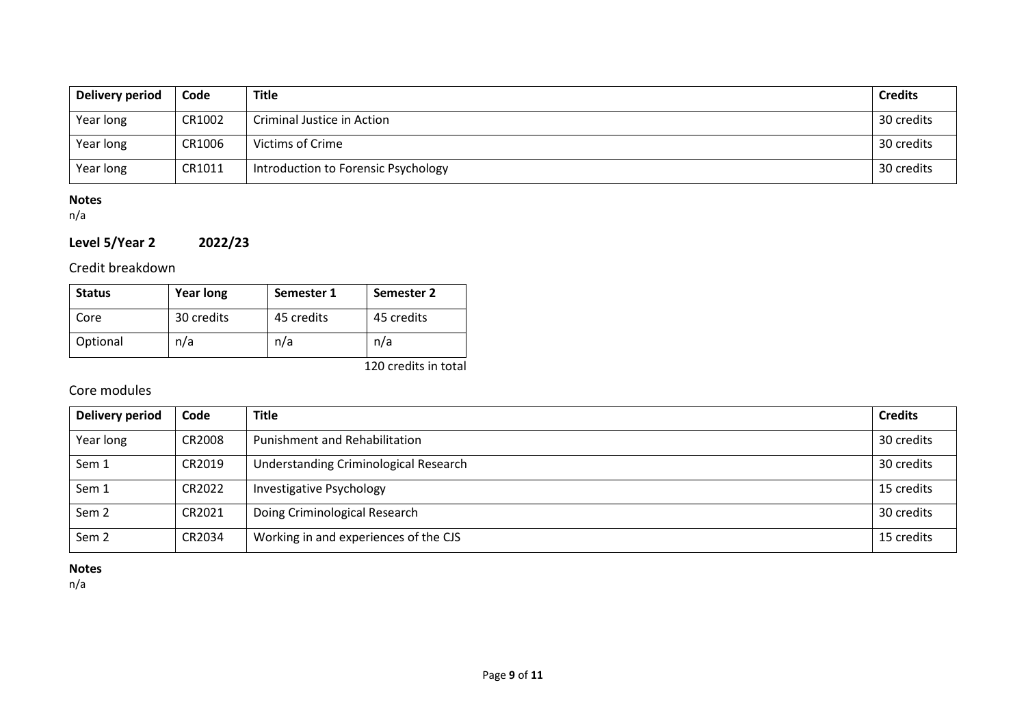| Delivery period | Code   | <b>Title</b>                        | <b>Credits</b> |
|-----------------|--------|-------------------------------------|----------------|
| Year long       | CR1002 | Criminal Justice in Action          | 30 credits     |
| Year long       | CR1006 | Victims of Crime                    | 30 credits     |
| Year long       | CR1011 | Introduction to Forensic Psychology | 30 credits     |

# **Notes**

n/a

# **Level 5/Year 2 2022/23**

Credit breakdown

| <b>Status</b> | <b>Year long</b> | Semester 1 | Semester 2 |
|---------------|------------------|------------|------------|
| Core          | 30 credits       | 45 credits | 45 credits |
| Optional      | n/a              | n/a        | n/a        |

120 credits in total

# Core modules

| <b>Delivery period</b> | Code   | <b>Title</b>                          | <b>Credits</b> |
|------------------------|--------|---------------------------------------|----------------|
| Year long              | CR2008 | <b>Punishment and Rehabilitation</b>  | 30 credits     |
| Sem 1                  | CR2019 | Understanding Criminological Research | 30 credits     |
| Sem 1                  | CR2022 | <b>Investigative Psychology</b>       | 15 credits     |
| Sem <sub>2</sub>       | CR2021 | Doing Criminological Research         | 30 credits     |
| Sem <sub>2</sub>       | CR2034 | Working in and experiences of the CJS | 15 credits     |

## **Notes**

n/a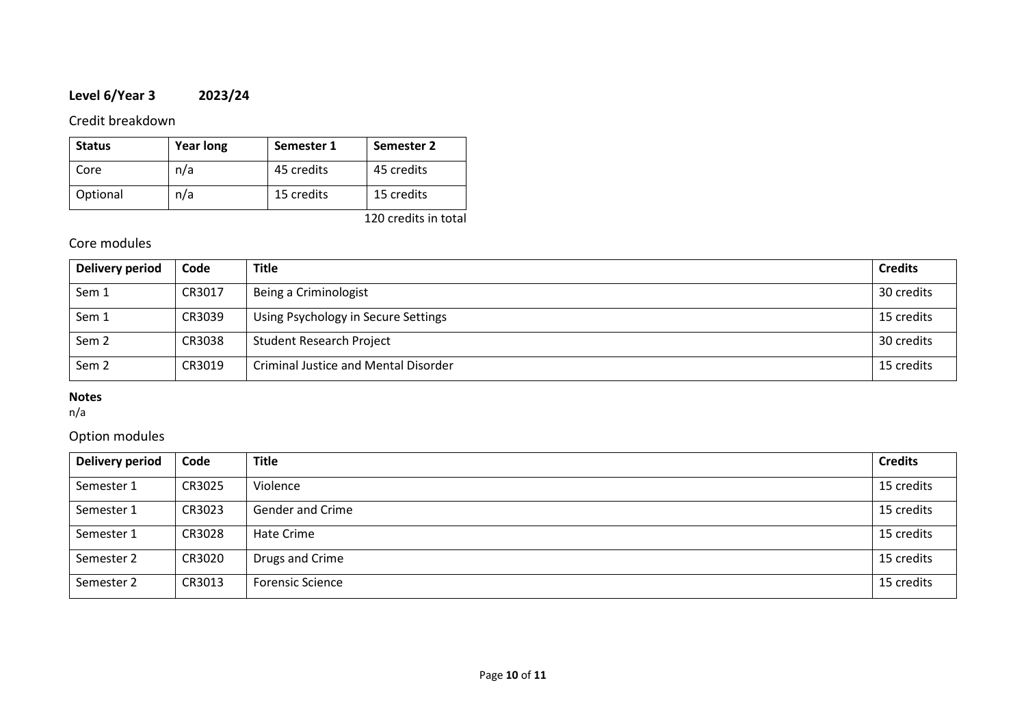# **Level 6/Year 3 2023/24**

# Credit breakdown

| <b>Status</b> | <b>Year long</b> | Semester 1 | Semester 2 |
|---------------|------------------|------------|------------|
| Core          | n/a              | 45 credits | 45 credits |
| Optional      | n/a              | 15 credits | 15 credits |

120 credits in total

# Core modules

| Delivery period  | Code   | <b>Title</b>                         | <b>Credits</b> |
|------------------|--------|--------------------------------------|----------------|
| Sem 1            | CR3017 | Being a Criminologist                | 30 credits     |
| Sem 1            | CR3039 | Using Psychology in Secure Settings  | 15 credits     |
| Sem <sub>2</sub> | CR3038 | <b>Student Research Project</b>      | 30 credits     |
| Sem <sub>2</sub> | CR3019 | Criminal Justice and Mental Disorder | 15 credits     |

# **Notes**

n/a

# Option modules

| <b>Delivery period</b> | Code   | Title                   | <b>Credits</b> |
|------------------------|--------|-------------------------|----------------|
| Semester 1             | CR3025 | Violence                | 15 credits     |
| Semester 1             | CR3023 | Gender and Crime        | 15 credits     |
| Semester 1             | CR3028 | Hate Crime              | 15 credits     |
| Semester 2             | CR3020 | Drugs and Crime         | 15 credits     |
| Semester 2             | CR3013 | <b>Forensic Science</b> | 15 credits     |